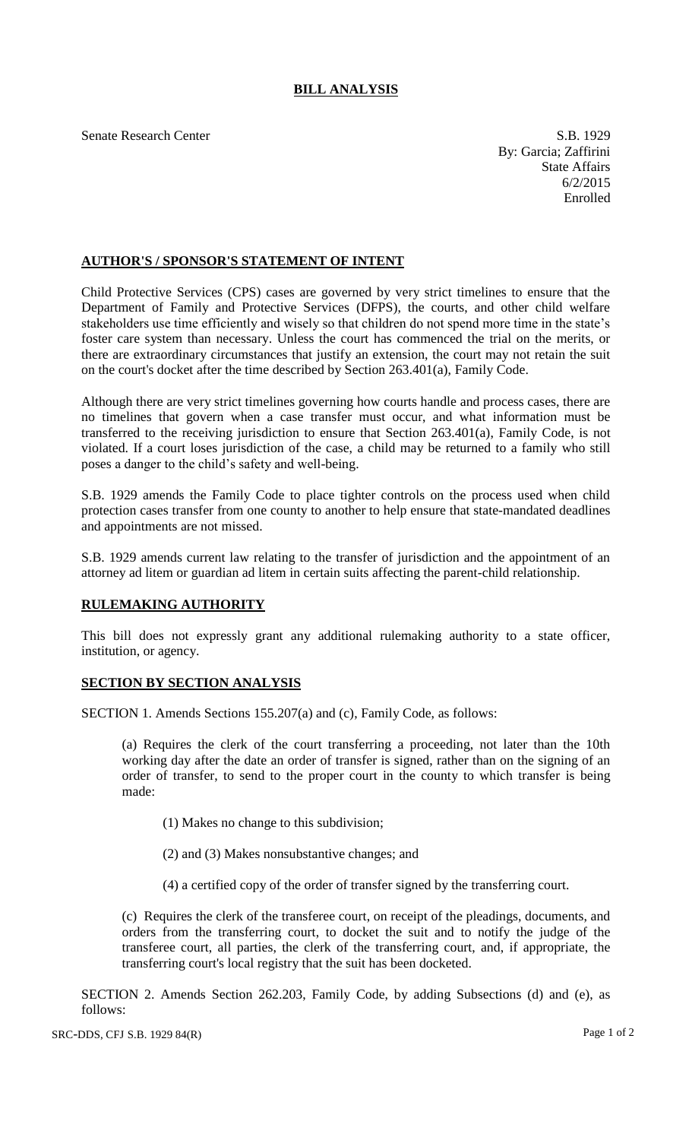## **BILL ANALYSIS**

Senate Research Center S.B. 1929

By: Garcia; Zaffirini State Affairs 6/2/2015 Enrolled

## **AUTHOR'S / SPONSOR'S STATEMENT OF INTENT**

Child Protective Services (CPS) cases are governed by very strict timelines to ensure that the Department of Family and Protective Services (DFPS), the courts, and other child welfare stakeholders use time efficiently and wisely so that children do not spend more time in the state's foster care system than necessary. Unless the court has commenced the trial on the merits, or there are extraordinary circumstances that justify an extension, the court may not retain the suit on the court's docket after the time described by Section 263.401(a), Family Code.

Although there are very strict timelines governing how courts handle and process cases, there are no timelines that govern when a case transfer must occur, and what information must be transferred to the receiving jurisdiction to ensure that Section 263.401(a), Family Code, is not violated. If a court loses jurisdiction of the case, a child may be returned to a family who still poses a danger to the child's safety and well-being.

S.B. 1929 amends the Family Code to place tighter controls on the process used when child protection cases transfer from one county to another to help ensure that state-mandated deadlines and appointments are not missed.

S.B. 1929 amends current law relating to the transfer of jurisdiction and the appointment of an attorney ad litem or guardian ad litem in certain suits affecting the parent-child relationship.

## **RULEMAKING AUTHORITY**

This bill does not expressly grant any additional rulemaking authority to a state officer, institution, or agency.

## **SECTION BY SECTION ANALYSIS**

SECTION 1. Amends Sections 155.207(a) and (c), Family Code, as follows:

(a) Requires the clerk of the court transferring a proceeding, not later than the 10th working day after the date an order of transfer is signed, rather than on the signing of an order of transfer, to send to the proper court in the county to which transfer is being made:

(1) Makes no change to this subdivision;

- (2) and (3) Makes nonsubstantive changes; and
- (4) a certified copy of the order of transfer signed by the transferring court.

(c) Requires the clerk of the transferee court, on receipt of the pleadings, documents, and orders from the transferring court, to docket the suit and to notify the judge of the transferee court, all parties, the clerk of the transferring court, and, if appropriate, the transferring court's local registry that the suit has been docketed.

SECTION 2. Amends Section 262.203, Family Code, by adding Subsections (d) and (e), as follows: